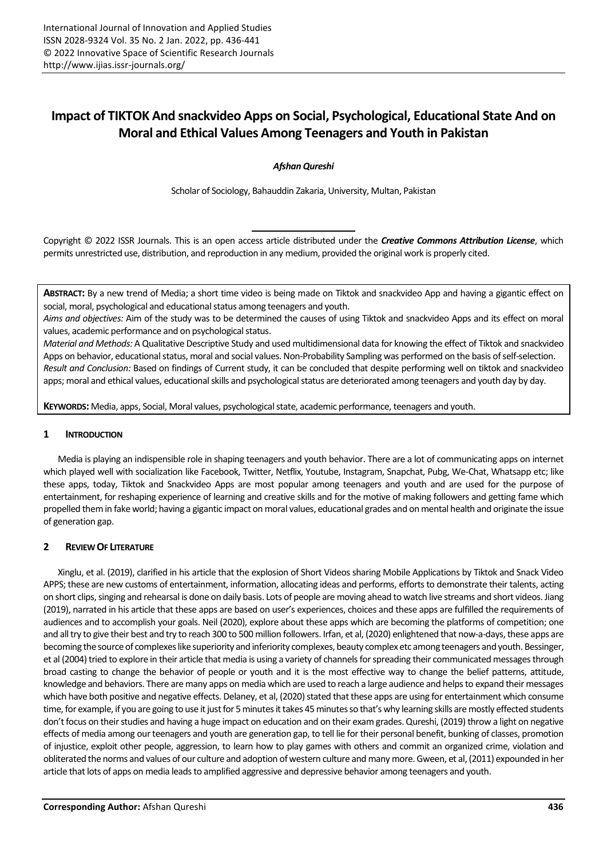# **Impact of TIKTOK And snackvideo Apps on Social, Psychological, Educational State And on Moral and Ethical Values Among Teenagers and Youth in Pakistan**

*Afshan Qureshi*

Scholar of Sociology, Bahauddin Zakaria, University, Multan, Pakistan

Copyright © 2022 ISSR Journals. This is an open access article distributed under the *Creative Commons Attribution License*, which permits unrestricted use, distribution, and reproduction in any medium, provided the original work is properly cited.

**ABSTRACT:** By a new trend of Media; a short time video is being made on Tiktok and snackvideo App and having a gigantic effect on social, moral, psychological and educational status among teenagers and youth.

*Aims and objectives:* Aim of the study was to be determined the causes of using Tiktok and snackvideo Apps and its effect on moral values, academic performance and on psychological status.

*Material and Methods:* A Qualitative Descriptive Study and used multidimensional data for knowing the effect of Tiktok and snackvideo Apps on behavior, educational status, moral and social values. Non-Probability Sampling was performed on the basis of self-selection. *Result and Conclusion:* Based on findings of Current study, it can be concluded that despite performing well on tiktok and snackvideo apps; moral and ethical values, educational skills and psychological status are deteriorated among teenagers and youth day by day.

**KEYWORDS:** Media, apps, Social, Moral values, psychological state, academic performance, teenagers and youth.

## **1 INTRODUCTION**

Media is playing an indispensible role in shaping teenagers and youth behavior. There are a lot of communicating apps on internet which played well with socialization like Facebook, Twitter, Netflix, Youtube, Instagram, Snapchat, Pubg, We-Chat, Whatsapp etc; like these apps, today, Tiktok and Snackvideo Apps are most popular among teenagers and youth and are used for the purpose of entertainment, for reshaping experience of learning and creative skills and for the motive of making followers and getting fame which propelled them in fake world; having a gigantic impact on moral values, educational grades and on mental health and originate the issue of generation gap.

## **2 REVIEW OF LITERATURE**

Xinglu, et al. (2019), clarified in his article that the explosion of Short Videos sharing Mobile Applications by Tiktok and Snack Video APPS; these are new customs of entertainment, information, allocating ideas and performs, efforts to demonstrate their talents, acting on short clips, singing and rehearsal is done on daily basis. Lots of people are moving ahead to watch live streams and short videos. Jiang (2019), narrated in his article that these apps are based on user's experiences, choices and these apps are fulfilled the requirements of audiences and to accomplish your goals. Neil (2020), explore about these apps which are becoming the platforms of competition; one and all try to give their best and try to reach 300 to 500 million followers. Irfan, et al, (2020) enlightened that now-a-days, these apps are becoming the source of complexes like superiority and inferiority complexes, beauty complex etc among teenagers and youth. Bessinger, et al (2004) tried to explore in their article that media is using a variety of channels for spreading their communicated messages through broad casting to change the behavior of people or youth and it is the most effective way to change the belief patterns, attitude, knowledge and behaviors. There are many apps on media which are used to reach a large audience and helps to expand their messages which have both positive and negative effects. Delaney, et al, (2020) stated that these apps are using for entertainment which consume time, for example, if you are going to use it just for 5 minutes it takes 45 minutes so that's why learning skills are mostly effected students don't focus on their studies and having a huge impact on education and on their exam grades. Qureshi, (2019) throw a light on negative effects of media among our teenagers and youth are generation gap, to tell lie for their personal benefit, bunking of classes, promotion of injustice, exploit other people, aggression, to learn how to play games with others and commit an organized crime, violation and obliterated the norms and values of our culture and adoption of western culture and many more. Gween, et al, (2011) expounded in her article that lots of apps on media leads to amplified aggressive and depressive behavior among teenagers and youth.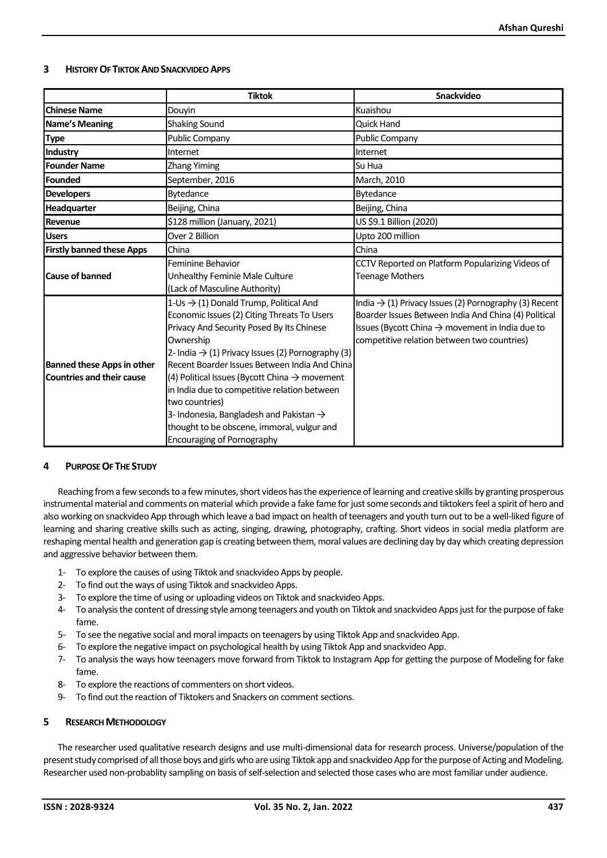# **3 HISTORY OF TIKTOK AND SNACKVIDEO APPS**

|                                                                       | <b>Tiktok</b>                                                                                                                                                                                                                                                                                                                                                                                                                                                                                                                             | Snackvideo                                                                                                                                                                                                                              |
|-----------------------------------------------------------------------|-------------------------------------------------------------------------------------------------------------------------------------------------------------------------------------------------------------------------------------------------------------------------------------------------------------------------------------------------------------------------------------------------------------------------------------------------------------------------------------------------------------------------------------------|-----------------------------------------------------------------------------------------------------------------------------------------------------------------------------------------------------------------------------------------|
| <b>Chinese Name</b>                                                   | Douyin                                                                                                                                                                                                                                                                                                                                                                                                                                                                                                                                    | Kuaishou                                                                                                                                                                                                                                |
| <b>Name's Meaning</b>                                                 | <b>Shaking Sound</b>                                                                                                                                                                                                                                                                                                                                                                                                                                                                                                                      | <b>Quick Hand</b>                                                                                                                                                                                                                       |
| <b>Type</b>                                                           | <b>Public Company</b>                                                                                                                                                                                                                                                                                                                                                                                                                                                                                                                     | <b>Public Company</b>                                                                                                                                                                                                                   |
| Industry                                                              | Internet                                                                                                                                                                                                                                                                                                                                                                                                                                                                                                                                  | Internet                                                                                                                                                                                                                                |
| <b>Founder Name</b>                                                   | Zhang Yiming                                                                                                                                                                                                                                                                                                                                                                                                                                                                                                                              | Su Hua                                                                                                                                                                                                                                  |
| Founded                                                               | September, 2016                                                                                                                                                                                                                                                                                                                                                                                                                                                                                                                           | March, 2010                                                                                                                                                                                                                             |
| <b>Developers</b>                                                     | <b>Bytedance</b>                                                                                                                                                                                                                                                                                                                                                                                                                                                                                                                          | Bytedance                                                                                                                                                                                                                               |
| Headquarter                                                           | Beijing, China                                                                                                                                                                                                                                                                                                                                                                                                                                                                                                                            | Beijing, China                                                                                                                                                                                                                          |
| Revenue                                                               | \$128 million (January, 2021)                                                                                                                                                                                                                                                                                                                                                                                                                                                                                                             | US \$9.1 Billion (2020)                                                                                                                                                                                                                 |
| <b>Users</b>                                                          | Over 2 Billion                                                                                                                                                                                                                                                                                                                                                                                                                                                                                                                            | Upto 200 million                                                                                                                                                                                                                        |
| <b>Firstly banned these Apps</b>                                      | China                                                                                                                                                                                                                                                                                                                                                                                                                                                                                                                                     | China                                                                                                                                                                                                                                   |
| <b>Cause of banned</b>                                                | Feminine Behavior<br>Unhealthy Feminie Male Culture<br>(Lack of Masculine Authority)                                                                                                                                                                                                                                                                                                                                                                                                                                                      | CCTV Reported on Platform Popularizing Videos of<br><b>Teenage Mothers</b>                                                                                                                                                              |
| <b>Banned these Apps in other</b><br><b>Countries and their cause</b> | 1-Us → (1) Donald Trump, Political And<br>Economic Issues (2) Citing Threats To Users<br>Privacy And Security Posed By Its Chinese<br>Ownership<br>2- India $\rightarrow$ (1) Privacy Issues (2) Pornography (3)<br>Recent Boarder Issues Between India And China<br>(4) Political Issues (Bycott China $\rightarrow$ movement<br>in India due to competitive relation between<br>two countries)<br>3-Indonesia, Bangladesh and Pakistan $\rightarrow$<br>thought to be obscene, immoral, vulgur and<br><b>Encouraging of Pornography</b> | India $\rightarrow$ (1) Privacy Issues (2) Pornography (3) Recent<br>Boarder Issues Between India And China (4) Political<br>Issues (Bycott China $\rightarrow$ movement in India due to<br>competitive relation between two countries) |

## **4 PURPOSE OF THE STUDY**

Reaching from a few seconds to a few minutes, short videos has the experience of learning and creative skills by granting prosperous instrumental material and comments on material which provide a fake fame for just some seconds and tiktokers feel a spirit of hero and also working on snackvideo App through which leave a bad impact on health of teenagers and youth turn out to be a well-liked figure of learning and sharing creative skills such as acting, singing, drawing, photography, crafting. Short videos in social media platform are reshaping mental health and generation gap is creating between them, moral values are declining day by day which creating depression and aggressive behavior between them.

- 1- To explore the causes of using Tiktok and snackvideo Apps by people.
- 2- To find out the ways of using Tiktok and snackvideo Apps.
- 3- To explore the time of using or uploading videos on Tiktok and snackvideo Apps.
- 4- To analysis the content of dressing style among teenagers and youth on Tiktok and snackvideo Apps just for the purpose of fake fame.
- 5- To see the negative social and moral impacts on teenagers by using Tiktok App and snackvideo App.
- 6- To explore the negative impact on psychological health by using Tiktok App and snackvideo App.
- 7- To analysis the ways how teenagers move forward from Tiktok to Instagram App for getting the purpose of Modeling for fake fame.
- 8- To explore the reactions of commenters on short videos.
- 9- To find out the reaction of Tiktokers and Snackers on comment sections.

# **5 RESEARCH METHODOLOGY**

The researcher used qualitative research designs and use multi-dimensional data for research process. Universe/population of the present study comprised of all those boys and girls who are using Tiktok app and snackvideo App for the purpose of Acting and Modeling. Researcher used non-probablity sampling on basis of self-selection and selected those cases who are most familiar under audience.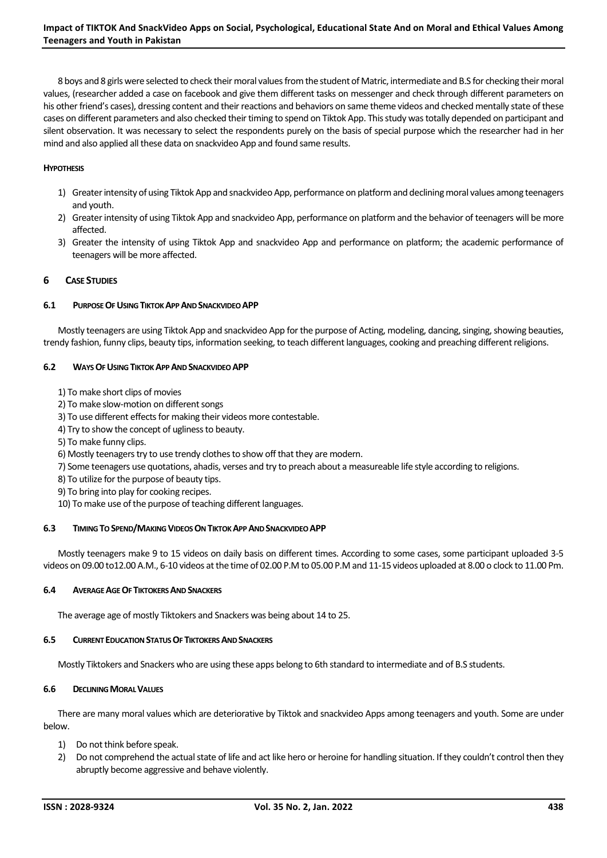8 boys and 8 girls were selected to check their moral values from the student of Matric, intermediate and B.S for checking their moral values, (researcher added a case on facebook and give them different tasks on messenger and check through different parameters on his other friend's cases), dressing content and their reactions and behaviors on same theme videos and checked mentally state of these cases on different parameters and also checked their timing to spend on Tiktok App. This study was totally depended on participant and silent observation. It was necessary to select the respondents purely on the basis of special purpose which the researcher had in her mind and also applied all these data on snackvideo App and found same results.

# **HYPOTHESIS**

- 1) Greater intensity of using Tiktok App and snackvideo App, performance on platform and declining moral values among teenagers and youth.
- 2) Greater intensity of using Tiktok App and snackvideo App, performance on platform and the behavior of teenagers will be more affected.
- 3) Greater the intensity of using Tiktok App and snackvideo App and performance on platform; the academic performance of teenagers will be more affected.

# **6 CASE STUDIES**

## **6.1 PURPOSE OF USING TIKTOK APP AND SNACKVIDEO APP**

Mostly teenagers are using Tiktok App and snackvideo App for the purpose of Acting, modeling, dancing, singing, showing beauties, trendy fashion, funny clips, beauty tips, information seeking, to teach different languages, cooking and preaching different religions.

## **6.2 WAYS OF USING TIKTOK APP AND SNACKVIDEO APP**

- 1) To make short clips of movies
- 2) To make slow-motion on different songs
- 3) To use different effects for making their videos more contestable.
- 4) Try to show the concept of ugliness to beauty.
- 5) To make funny clips.
- 6) Mostly teenagers try to use trendy clothes to show off that they are modern.
- 7) Some teenagers use quotations, ahadis, verses and try to preach about a measureable life style according to religions.
- 8) To utilize for the purpose of beauty tips.
- 9) To bring into play for cooking recipes.
- 10) To make use of the purpose of teaching different languages.

## **6.3 TIMING TO SPEND/MAKING VIDEOS ON TIKTOK APP AND SNACKVIDEO APP**

Mostly teenagers make 9 to 15 videos on daily basis on different times. According to some cases, some participant uploaded 3-5 videos on 09.00 to12.00 A.M., 6-10 videos at the time of 02.00 P.M to 05.00 P.M and 11-15 videos uploaded at 8.00 o clock to 11.00 Pm.

## **6.4 AVERAGE AGE OF TIKTOKERSAND SNACKERS**

The average age of mostly Tiktokers and Snackers was being about 14 to 25.

## **6.5 CURRENT EDUCATION STATUS OF TIKTOKERS AND SNACKERS**

Mostly Tiktokers and Snackers who are using these apps belong to 6th standard to intermediate and of B.S students.

## **6.6 DECLINING MORAL VALUES**

There are many moral values which are deteriorative by Tiktok and snackvideo Apps among teenagers and youth. Some are under below.

- 1) Do not think before speak.
- 2) Do not comprehend the actual state of life and act like hero or heroine for handling situation. If they couldn't control then they abruptly become aggressive and behave violently.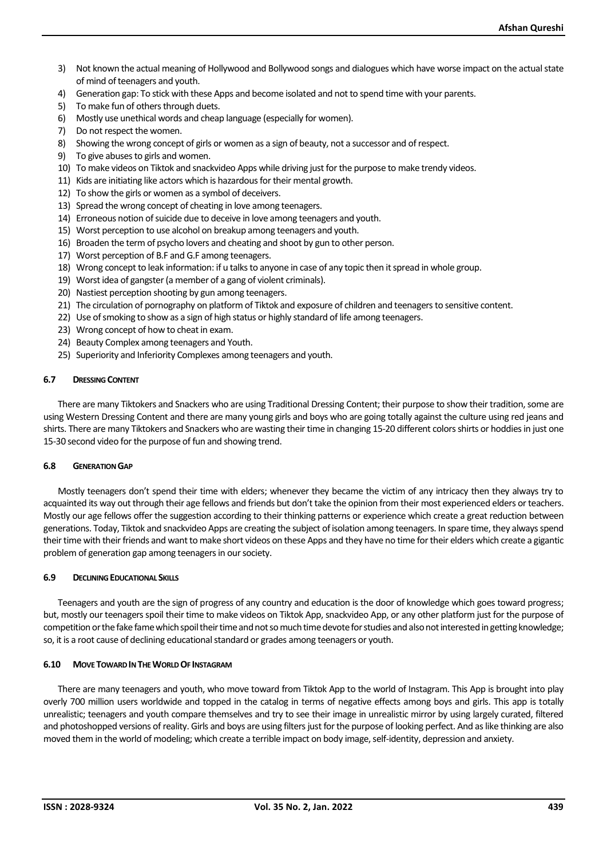- 3) Not known the actual meaning of Hollywood and Bollywood songs and dialogues which have worse impact on the actual state of mind of teenagers and youth.
- 4) Generation gap: To stick with these Apps and become isolated and not to spend time with your parents.
- 5) To make fun of others through duets.
- 6) Mostly use unethical words and cheap language (especially for women).
- 7) Do not respect the women.
- 8) Showing the wrong concept of girls or women as a sign of beauty, not a successor and ofrespect.
- 9) To give abuses to girls and women.
- 10) To make videos on Tiktok and snackvideo Apps while driving just for the purpose to make trendy videos.
- 11) Kids are initiating like actors which is hazardous for their mental growth.
- 12) To show the girls or women as a symbol of deceivers.
- 13) Spread the wrong concept of cheating in love among teenagers.
- 14) Erroneous notion of suicide due to deceive in love among teenagers and youth.
- 15) Worst perception to use alcohol on breakup among teenagers and youth.
- 16) Broaden the term of psycho lovers and cheating and shoot by gun to other person.
- 17) Worst perception of B.F and G.F among teenagers.
- 18) Wrong concept to leak information: if u talks to anyone in case of any topic then it spread in whole group.
- 19) Worst idea of gangster (a member of a gang of violent criminals).
- 20) Nastiest perception shooting by gun among teenagers.
- 21) The circulation of pornography on platform of Tiktok and exposure of children and teenagers to sensitive content.
- 22) Use of smoking to show as a sign of high status or highly standard of life among teenagers.
- 23) Wrong concept of how to cheat in exam.
- 24) Beauty Complex among teenagers and Youth.
- 25) Superiority and Inferiority Complexes among teenagers and youth.

#### **6.7 DRESSINGCONTENT**

There are many Tiktokers and Snackers who are using Traditional Dressing Content; their purpose to show their tradition, some are using Western Dressing Content and there are many young girls and boys who are going totally against the culture using red jeans and shirts. There are many Tiktokers and Snackers who are wasting their time in changing 15-20 different colors shirts or hoddies in just one 15-30 second video for the purpose of fun and showing trend.

#### **6.8 GENERATION GAP**

Mostly teenagers don't spend their time with elders; whenever they became the victim of any intricacy then they always try to acquainted its way out through their age fellows and friends but don't take the opinion from their most experienced elders or teachers. Mostly our age fellows offer the suggestion according to their thinking patterns or experience which create a great reduction between generations. Today, Tiktok and snackvideo Apps are creating the subject of isolation among teenagers. In spare time, they always spend their time with their friends and want to make short videos on these Apps and they have no time for their elders which create a gigantic problem of generation gap among teenagers in our society.

#### **6.9 DECLINING EDUCATIONAL SKILLS**

Teenagers and youth are the sign of progress of any country and education is the door of knowledge which goes toward progress; but, mostly our teenagers spoil their time to make videos on Tiktok App, snackvideo App, or any other platform just for the purpose of competition or the fake fame which spoil their time and not so much time devote for studies and also not interested in getting knowledge; so, it is a root cause of declining educational standard or grades among teenagers or youth.

#### **6.10 MOVE TOWARD IN THE WORLD OF INSTAGRAM**

There are many teenagers and youth, who move toward from Tiktok App to the world of Instagram. This App is brought into play overly 700 million users worldwide and topped in the catalog in terms of negative effects among boys and girls. This app is totally unrealistic; teenagers and youth compare themselves and try to see their image in unrealistic mirror by using largely curated, filtered and photoshopped versions of reality. Girls and boys are using filters just for the purpose of looking perfect. And as like thinking are also moved them in the world of modeling; which create a terrible impact on body image, self-identity, depression and anxiety.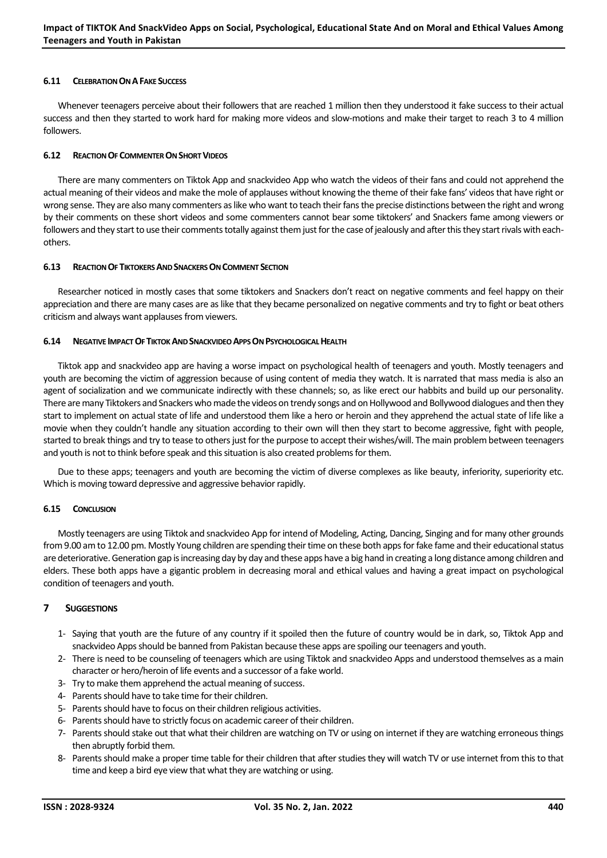#### **6.11 CELEBRATION ON AFAKE SUCCESS**

Whenever teenagers perceive about their followers that are reached 1 million then they understood it fake success to their actual success and then they started to work hard for making more videos and slow-motions and make their target to reach 3 to 4 million followers.

#### **6.12 REACTION OF COMMENTER ON SHORT VIDEOS**

There are many commenters on Tiktok App and snackvideo App who watch the videos of their fans and could not apprehend the actual meaning of their videos and make the mole of applauses without knowing the theme of their fake fans' videos that have right or wrong sense. They are also many commenters as like who want to teach their fans the precise distinctions between the right and wrong by their comments on these short videos and some commenters cannot bear some tiktokers' and Snackers fame among viewers or followers and they start to use their comments totally against them just for the case of jealously and after this they start rivals with eachothers.

#### **6.13 REACTION OF TIKTOKERS AND SNACKERS ON COMMENT SECTION**

Researcher noticed in mostly cases that some tiktokers and Snackers don't react on negative comments and feel happy on their appreciation and there are many cases are as like that they became personalized on negative comments and try to fight or beat others criticism and always want applauses from viewers.

#### **6.14 NEGATIVE IMPACT OF TIKTOK AND SNACKVIDEO APPS ON PSYCHOLOGICAL HEALTH**

Tiktok app and snackvideo app are having a worse impact on psychological health of teenagers and youth. Mostly teenagers and youth are becoming the victim of aggression because of using content of media they watch. It is narrated that mass media is also an agent of socialization and we communicate indirectly with these channels; so, as like erect our habbits and build up our personality. There are many Tiktokers and Snackers who made the videos on trendy songs and on Hollywood and Bollywood dialogues and then they start to implement on actual state of life and understood them like a hero or heroin and they apprehend the actual state of life like a movie when they couldn't handle any situation according to their own will then they start to become aggressive, fight with people, started to break things and try to tease to others just for the purpose to accept their wishes/will. The main problem between teenagers and youth is not to think before speak and this situation is also created problems for them.

Due to these apps; teenagers and youth are becoming the victim of diverse complexes as like beauty, inferiority, superiority etc. Which is moving toward depressive and aggressive behavior rapidly.

#### **6.15 CONCLUSION**

Mostly teenagers are using Tiktok and snackvideo App for intend of Modeling, Acting, Dancing, Singing and for many other grounds from 9.00 am to 12.00 pm. Mostly Young children are spending their time on these both apps for fake fame and their educational status are deteriorative. Generation gap is increasing day by day and these apps have a big hand in creating a long distance among children and elders. These both apps have a gigantic problem in decreasing moral and ethical values and having a great impact on psychological condition of teenagers and youth.

#### **7 SUGGESTIONS**

- 1- Saying that youth are the future of any country if it spoiled then the future of country would be in dark, so, Tiktok App and snackvideo Apps should be banned from Pakistan because these apps are spoiling our teenagers and youth.
- 2- There is need to be counseling of teenagers which are using Tiktok and snackvideo Apps and understood themselves as a main character or hero/heroin of life events and a successor of a fake world.
- 3- Try to make them apprehend the actual meaning of success.
- 4- Parents should have to take time for their children.
- 5- Parents should have to focus on their children religious activities.
- 6- Parents should have to strictly focus on academic career of their children.
- 7- Parents should stake out that what their children are watching on TV or using on internet if they are watching erroneous things then abruptly forbid them.
- 8- Parents should make a proper time table for their children that after studies they will watch TV or use internet from this to that time and keep a bird eye view that what they are watching or using.